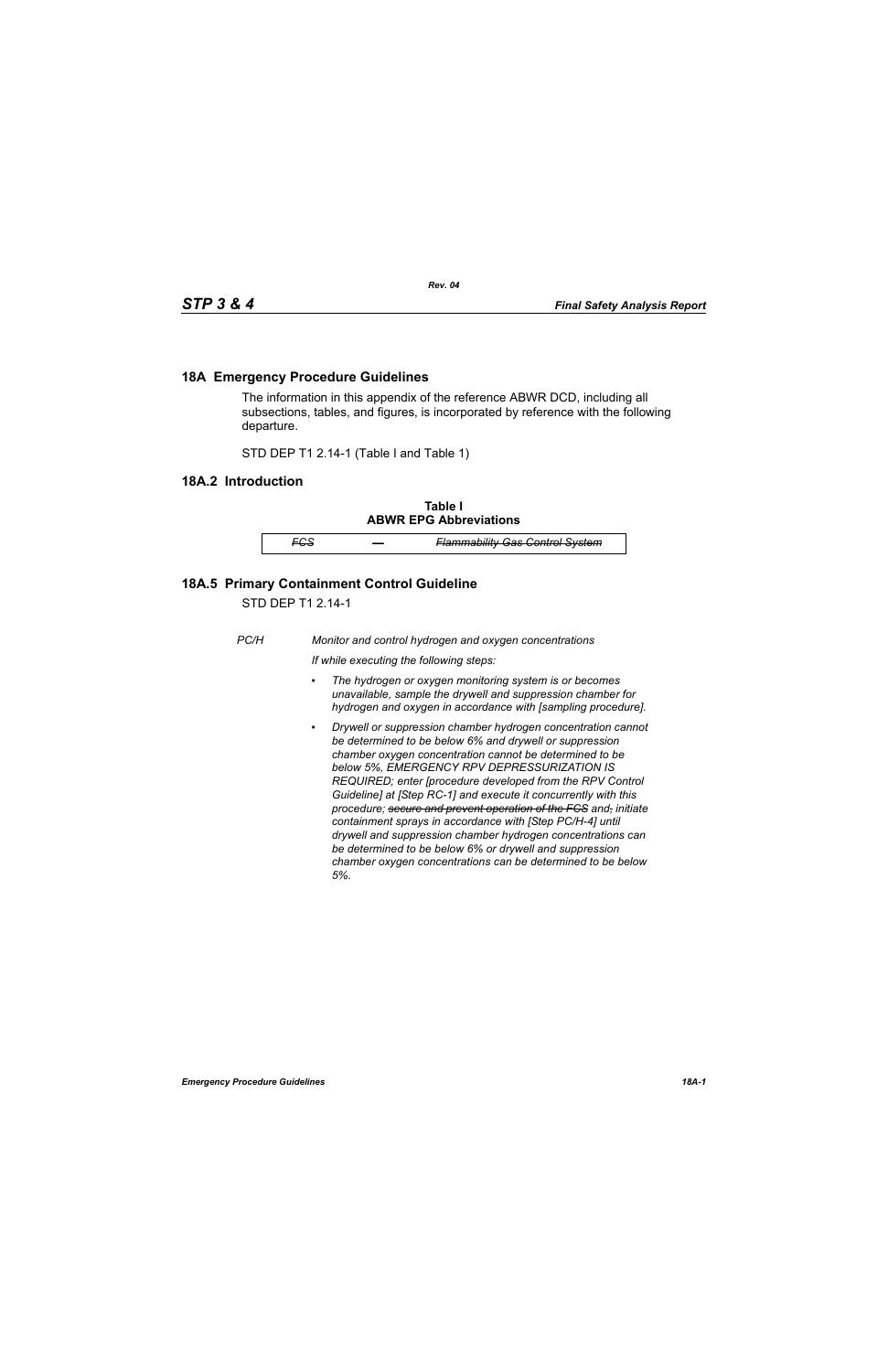## **18A Emergency Procedure Guidelines**

The information in this appendix of the reference ABWR DCD, including all subsections, tables, and figures, is incorporated by reference with the following departure.

STD DEP T1 2.14-1 (Table I and Table 1)

## **18A.2 Introduction**

**Table I ABWR EPG Abbreviations**

*FCS — Flammability Gas Control System*

## **18A.5 Primary Containment Control Guideline**

STD DEP T1 2.14-1

*PC/H Monitor and control hydrogen and oxygen concentrations*

*If while executing the following steps:*

- *▪ The hydrogen or oxygen monitoring system is or becomes unavailable, sample the drywell and suppression chamber for hydrogen and oxygen in accordance with [sampling procedure].*
- *Drywell or suppression chamber hydrogen concentration cannot be determined to be below 6% and drywell or suppression chamber oxygen concentration cannot be determined to be below 5%, EMERGENCY RPV DEPRESSURIZATION IS REQUIRED; enter [procedure developed from the RPV Control Guideline] at [Step RC-1] and execute it concurrently with this procedure; secure and prevent operation of the FCS and, initiate containment sprays in accordance with [Step PC/H-4] until drywell and suppression chamber hydrogen concentrations can be determined to be below 6% or drywell and suppression chamber oxygen concentrations can be determined to be below 5%.*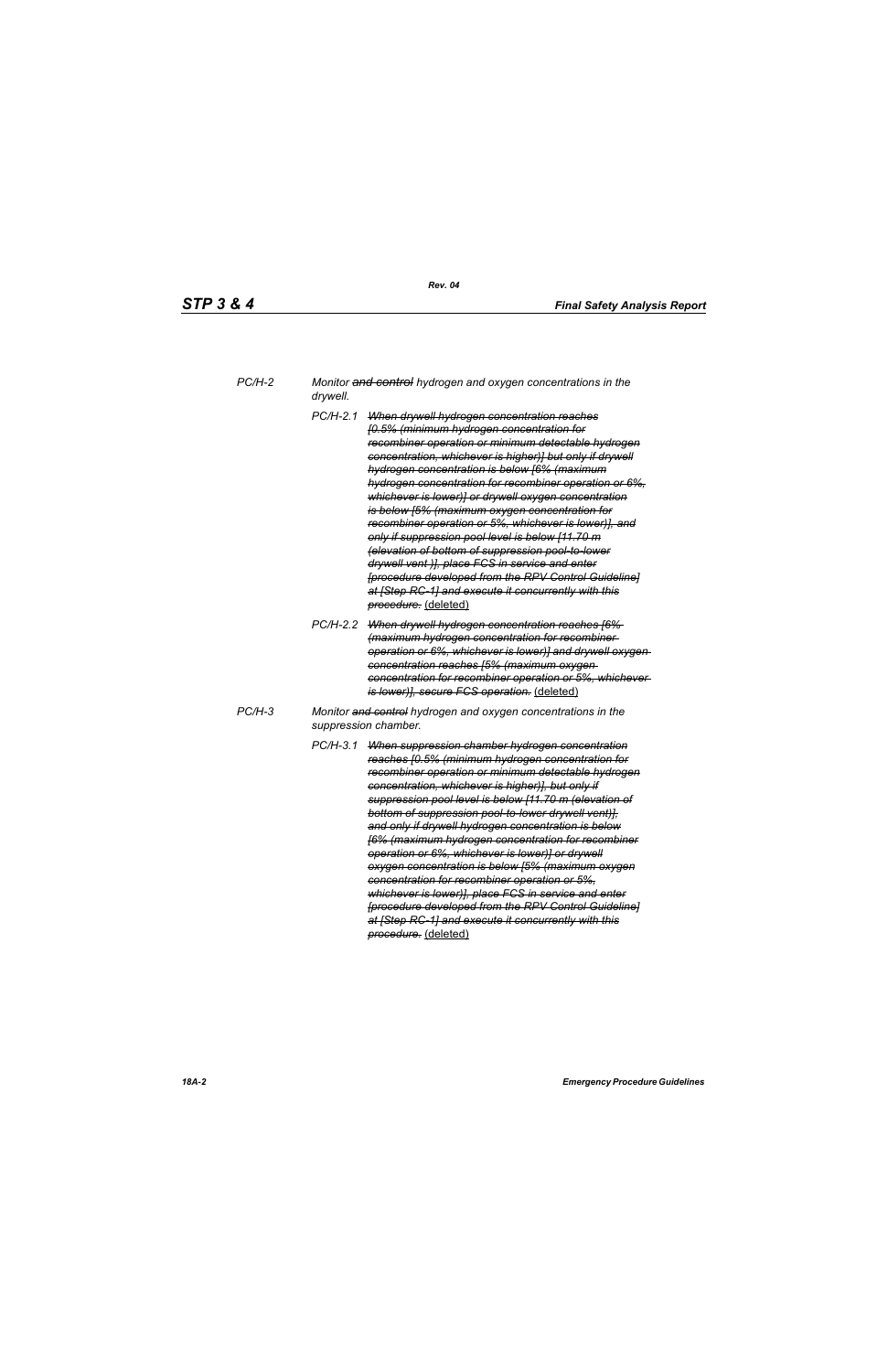| PC/H-2 | Monitor and control hydrogen and oxygen concentrations in the |
|--------|---------------------------------------------------------------|
|        | drywell.                                                      |

- *PC/H-2.1 When drywell hydrogen concentration reaches [0.5% (minimum hydrogen concentration for recombiner operation or minimum detectable hydrogen concentration, whichever is higher)] but only if drywell hydrogen concentration is below [6% (maximum hydrogen concentration for recombiner operation or 6%, whichever is lower)] or drywell oxygen concentration is below [5% (maximum oxygen concentration for recombiner operation or 5%, whichever is lower)], and only if suppression pool level is below [11.70 m (elevation of bottom of suppression pool-to-lower drywell vent )], place FCS in service and enter [procedure developed from the RPV Control Guideline] at [Step RC-1] and execute it concurrently with this procedure.* (deleted)
- *PC/H-2.2 When drywell hydrogen concentration reaches [6% (maximum hydrogen concentration for recombiner operation or 6%, whichever is lower)] and drywell oxygen concentration reaches [5% (maximum oxygen concentration for recombiner operation or 5%, whichever is lower)], secure FCS operation.* (deleted)
- *PC/H-3 Monitor and control hydrogen and oxygen concentrations in the suppression chamber.*
	- *PC/H-3.1 When suppression chamber hydrogen concentration reaches [0.5% (minimum hydrogen concentration for recombiner operation or minimum detectable hydrogen concentration, whichever is higher)], but only if suppression pool level is below [11.70 m (elevation of bottom of suppression pool-to-lower drywell vent)], and only if drywell hydrogen concentration is below [6% (maximum hydrogen concentration for recombiner operation or 6%, whichever is lower)] or drywell oxygen concentration is below [5% (maximum oxygen concentration for recombiner operation or 5%, whichever is lower)], place FCS in service and enter [procedure developed from the RPV Control Guideline] at [Step RC-1] and execute it concurrently with this procedure.* (deleted)